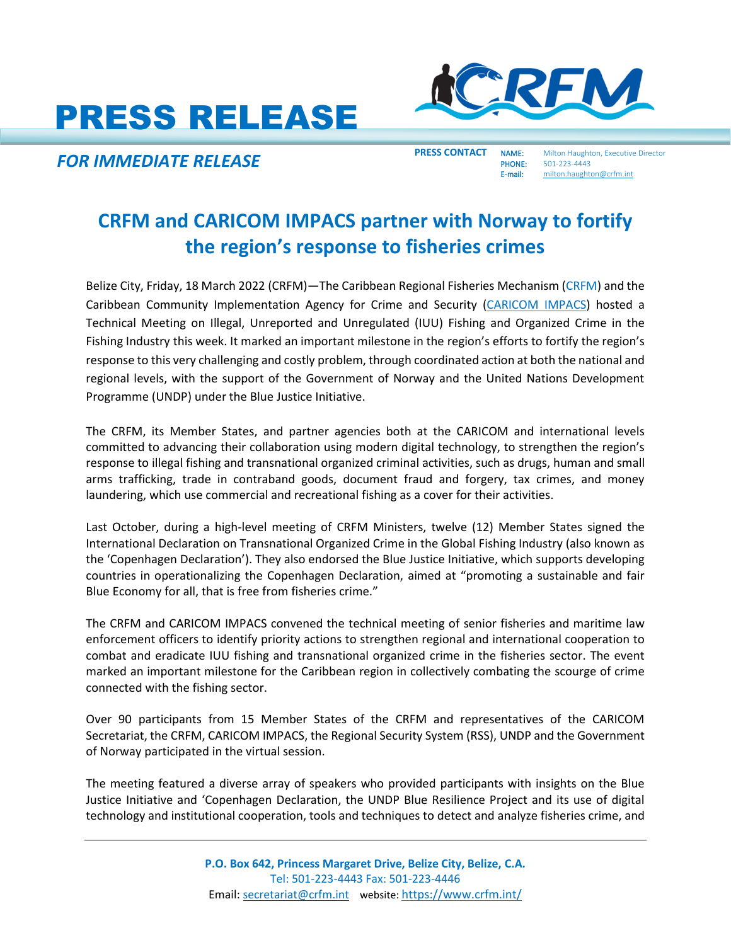# PRESS RELEASE



**FOR IMMEDIATE RELEASE**<br> **PRESS CONTACT** NAME: Milton Haughton, Executive Director<br>
E-mail: milton.haughton@crfm.int

PHONE: 501-223-4443 milton.haughton@crfm.int

## **CRFM and CARICOM IMPACS partner with Norway to fortify the region's response to fisheries crimes**

Belize City, Friday, 18 March 2022 (CRFM)—The Caribbean Regional Fisheries Mechanism [\(CRFM\)](https://crfm.int/) and the Caribbean Community Implementation Agency for Crime and Security [\(CARICOM IMPACS\)](https://caricomimpacs.org/) hosted a Technical Meeting on Illegal, Unreported and Unregulated (IUU) Fishing and Organized Crime in the Fishing Industry this week. It marked an important milestone in the region's efforts to fortify the region's response to this very challenging and costly problem, through coordinated action at both the national and regional levels, with the support of the Government of Norway and the United Nations Development Programme (UNDP) under the Blue Justice Initiative.

The CRFM, its Member States, and partner agencies both at the CARICOM and international levels committed to advancing their collaboration using modern digital technology, to strengthen the region's response to illegal fishing and transnational organized criminal activities, such as drugs, human and small arms trafficking, trade in contraband goods, document fraud and forgery, tax crimes, and money laundering, which use commercial and recreational fishing as a cover for their activities.

Last October, during a high-level meeting of CRFM Ministers, twelve (12) Member States signed the International Declaration on Transnational Organized Crime in the Global Fishing Industry (also known as the 'Copenhagen Declaration'). They also endorsed the Blue Justice Initiative, which supports developing countries in operationalizing the Copenhagen Declaration, aimed at "promoting a sustainable and fair Blue Economy for all, that is free from fisheries crime."

The CRFM and CARICOM IMPACS convened the technical meeting of senior fisheries and maritime law enforcement officers to identify priority actions to strengthen regional and international cooperation to combat and eradicate IUU fishing and transnational organized crime in the fisheries sector. The event marked an important milestone for the Caribbean region in collectively combating the scourge of crime connected with the fishing sector.

Over 90 participants from 15 Member States of the CRFM and representatives of the CARICOM Secretariat, the CRFM, CARICOM IMPACS, the Regional Security System (RSS), UNDP and the Government of Norway participated in the virtual session.

The meeting featured a diverse array of speakers who provided participants with insights on the Blue Justice Initiative and 'Copenhagen Declaration, the UNDP Blue Resilience Project and its use of digital technology and institutional cooperation, tools and techniques to detect and analyze fisheries crime, and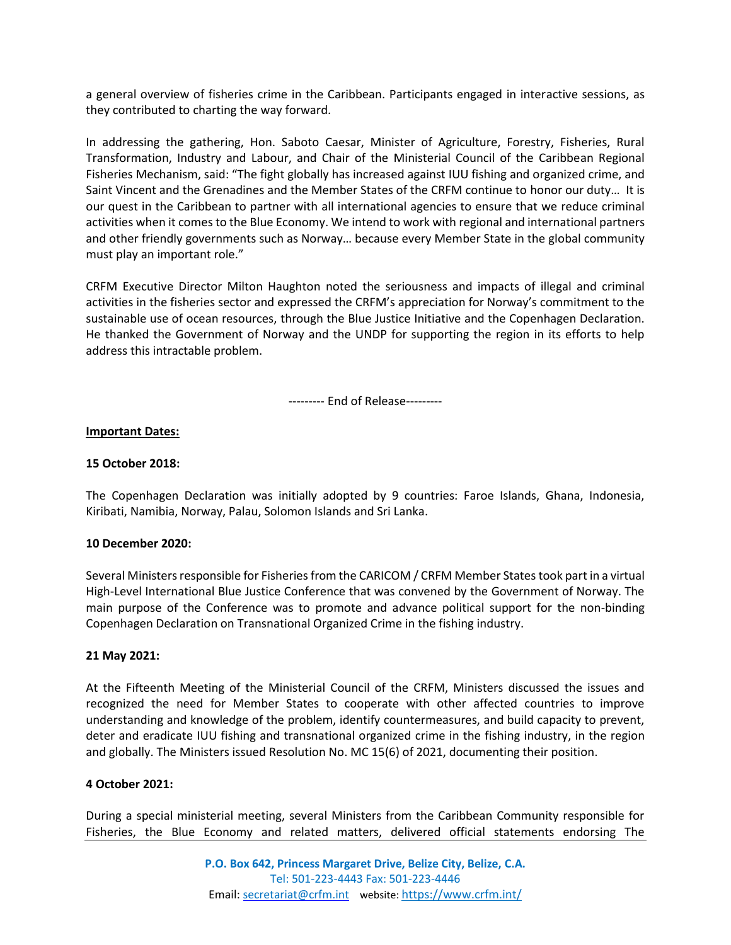a general overview of fisheries crime in the Caribbean. Participants engaged in interactive sessions, as they contributed to charting the way forward.

In addressing the gathering, Hon. Saboto Caesar, Minister of Agriculture, Forestry, Fisheries, Rural Transformation, Industry and Labour, and Chair of the Ministerial Council of the Caribbean Regional Fisheries Mechanism, said: "The fight globally has increased against IUU fishing and organized crime, and Saint Vincent and the Grenadines and the Member States of the CRFM continue to honor our duty… It is our quest in the Caribbean to partner with all international agencies to ensure that we reduce criminal activities when it comes to the Blue Economy. We intend to work with regional and international partners and other friendly governments such as Norway… because every Member State in the global community must play an important role."

CRFM Executive Director Milton Haughton noted the seriousness and impacts of illegal and criminal activities in the fisheries sector and expressed the CRFM's appreciation for Norway's commitment to the sustainable use of ocean resources, through the Blue Justice Initiative and the Copenhagen Declaration. He thanked the Government of Norway and the UNDP for supporting the region in its efforts to help address this intractable problem.

--------- End of Release---------

### **Important Dates:**

### **15 October 2018:**

The Copenhagen Declaration was initially adopted by 9 countries: Faroe Islands, Ghana, Indonesia, Kiribati, Namibia, Norway, Palau, Solomon Islands and Sri Lanka.

#### **10 December 2020:**

Several Ministers responsible for Fisheries from the CARICOM / CRFM Member States took part in a virtual High-Level International Blue Justice Conference that was convened by the Government of Norway. The main purpose of the Conference was to promote and advance political support for the non-binding Copenhagen Declaration on Transnational Organized Crime in the fishing industry.

#### **21 May 2021:**

At the Fifteenth Meeting of the Ministerial Council of the CRFM, Ministers discussed the issues and recognized the need for Member States to cooperate with other affected countries to improve understanding and knowledge of the problem, identify countermeasures, and build capacity to prevent, deter and eradicate IUU fishing and transnational organized crime in the fishing industry, in the region and globally. The Ministers issued Resolution No. MC 15(6) of 2021, documenting their position.

#### **4 October 2021:**

During a special ministerial meeting, several Ministers from the Caribbean Community responsible for Fisheries, the Blue Economy and related matters, delivered official statements endorsing The